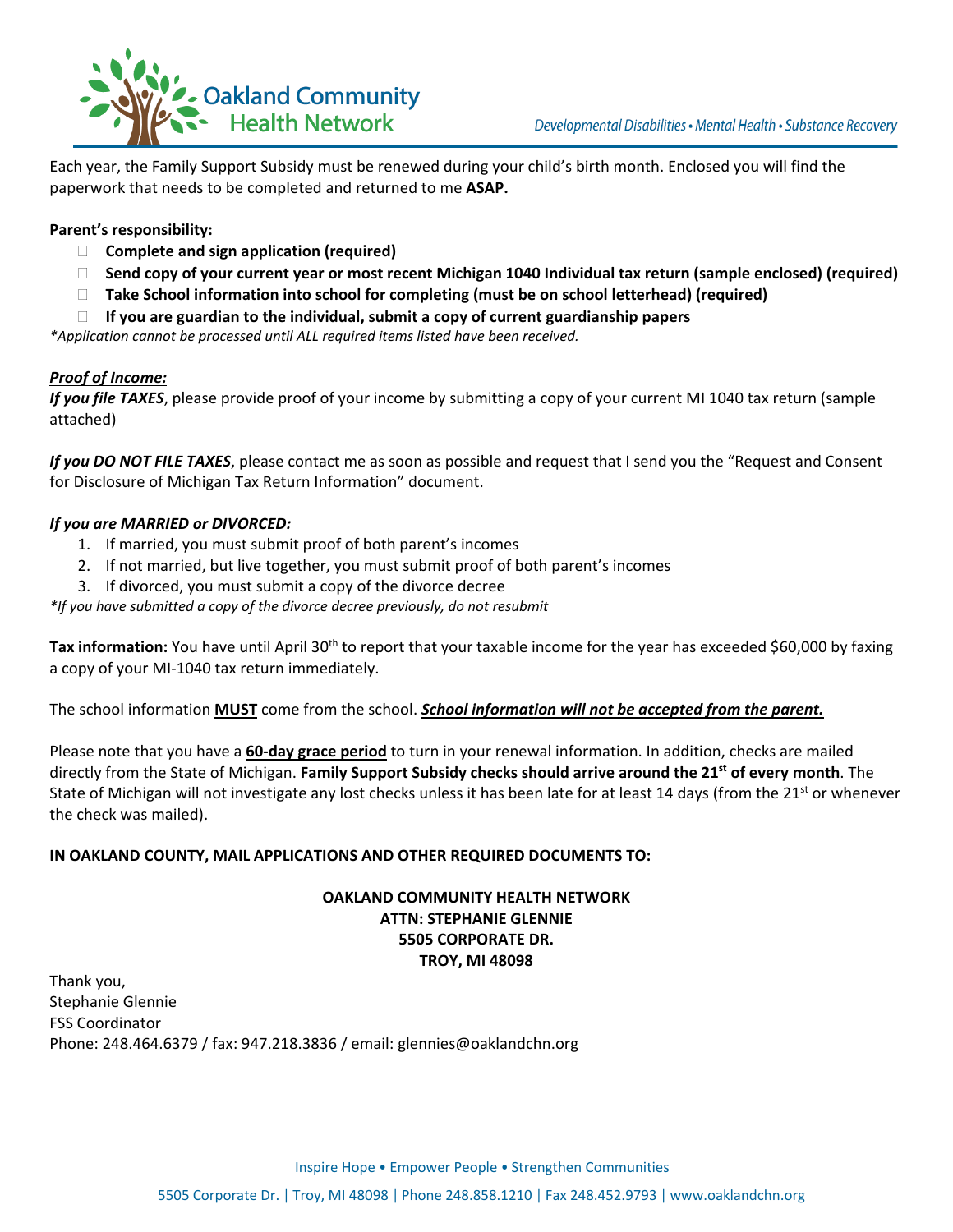

Each year, the Family Support Subsidy must be renewed during your child's birth month. Enclosed you will find the paperwork that needs to be completed and returned to me **ASAP.**

#### **Parent's responsibility:**

- **Complete and sign application (required)**
- □ Send copy of your current year or most recent Michigan 1040 Individual tax return (sample enclosed) (required)
- **Take School information into school for completing (must be on school letterhead) (required)**
- **If you are guardian to the individual, submit a copy of current guardianship papers**

*\*Application cannot be processed until ALL required items listed have been received.*

#### *Proof of Income:*

*If you file TAXES*, please provide proof of your income by submitting a copy of your current MI 1040 tax return (sample attached)

*If you DO NOT FILE TAXES*, please contact me as soon as possible and request that I send you the "Request and Consent for Disclosure of Michigan Tax Return Information" document.

#### *If you are MARRIED or DIVORCED:*

- 1. If married, you must submit proof of both parent's incomes
- 2. If not married, but live together, you must submit proof of both parent's incomes
- 3. If divorced, you must submit a copy of the divorce decree

*\*If you have submitted a copy of the divorce decree previously, do not resubmit*

**Tax information:** You have until April 30<sup>th</sup> to report that your taxable income for the year has exceeded \$60,000 by faxing a copy of your MI‐1040 tax return immediately.

The school information **MUST** come from the school. *School information will not be accepted from the parent.*

Please note that you have a **60‐day grace period** to turn in your renewal information. In addition, checks are mailed directly from the State of Michigan. **Family Support Subsidy checks should arrive around the 21st of every month**. The State of Michigan will not investigate any lost checks unless it has been late for at least 14 days (from the  $21<sup>st</sup>$  or whenever the check was mailed).

#### **IN OAKLAND COUNTY, MAIL APPLICATIONS AND OTHER REQUIRED DOCUMENTS TO:**

#### **OAKLAND COMMUNITY HEALTH NETWORK ATTN: STEPHANIE GLENNIE 5505 CORPORATE DR. TROY, MI 48098**

Thank you, Stephanie Glennie FSS Coordinator Phone: 248.464.6379 / fax: 947.218.3836 / email: glennies@oaklandchn.org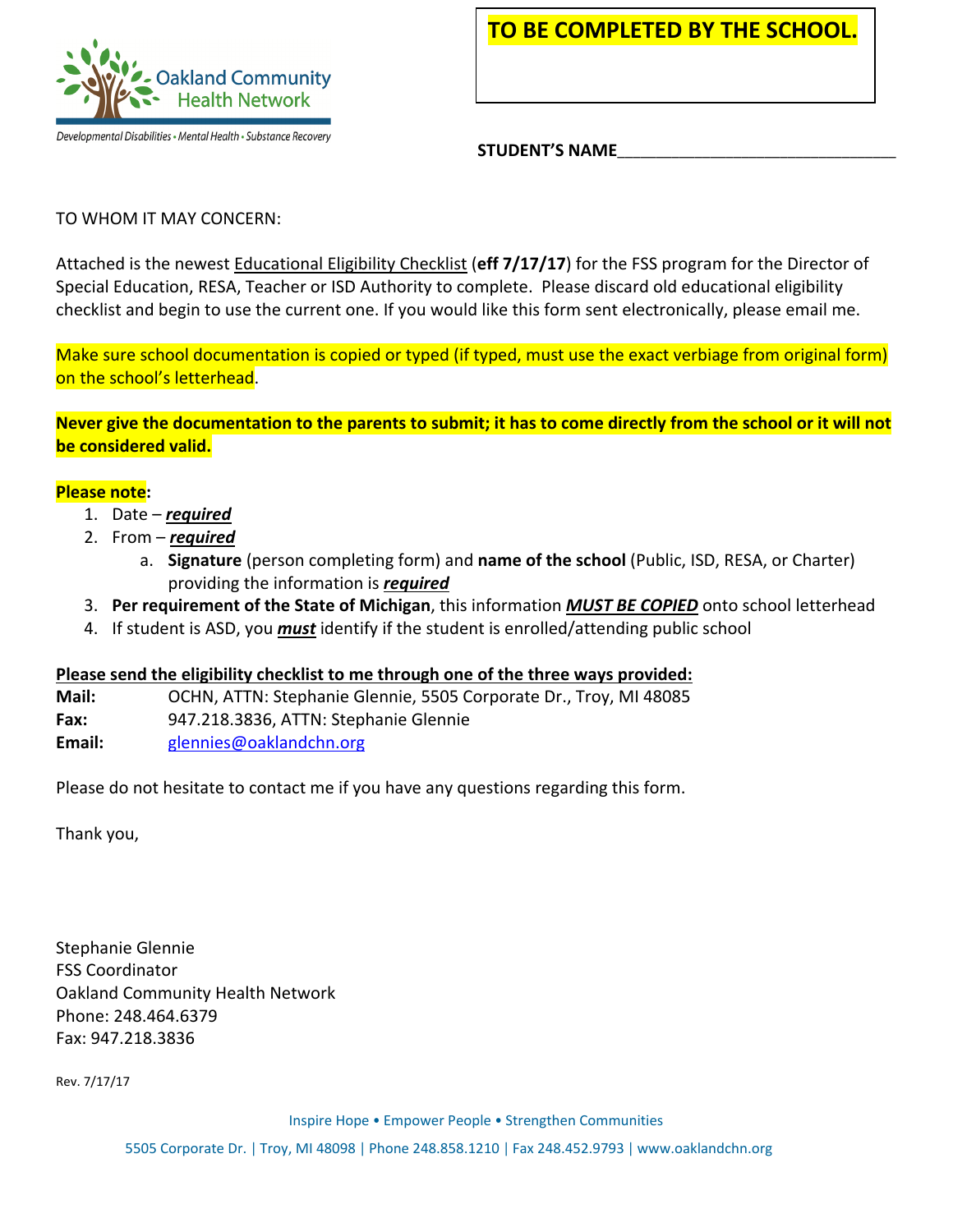

Developmental Disabilities • Mental Health • Substance Recovery

**TO BE COMPLETED BY THE SCHOOL.**

**STUDENT'S NAME**\_\_\_\_\_\_\_\_\_\_\_\_\_\_\_\_\_\_\_\_\_\_\_\_\_\_\_\_\_\_\_\_\_\_\_\_

### TO WHOM IT MAY CONCERN:

Attached is the newest Educational Eligibility Checklist (**eff 7/17/17**) for the FSS program for the Director of Special Education, RESA, Teacher or ISD Authority to complete. Please discard old educational eligibility checklist and begin to use the current one. If you would like this form sent electronically, please email me.

Make sure school documentation is copied or typed (if typed, must use the exact verbiage from original form) on the school's letterhead.

Never give the documentation to the parents to submit; it has to come directly from the school or it will not **be considered valid.**

#### **Please note:**

- 1. Date *required*
- 2. From *required*
	- a. **Signature** (person completing form) and **name of the school** (Public, ISD, RESA, or Charter) providing the information is *required*
- 3. **Per requirement of the State of Michigan**, this information *MUST BE COPIED* onto school letterhead
- 4. If student is ASD, you *must* identify if the student is enrolled/attending public school

#### **Please send the eligibility checklist to me through one of the three ways provided:**

- **Mail:**  OCHN, ATTN: Stephanie Glennie, 5505 Corporate Dr., Troy, MI 48085
- **Fax:**  947.218.3836, ATTN: Stephanie Glennie
- **Email:**  glennies@oaklandchn.org

Please do not hesitate to contact me if you have any questions regarding this form.

Thank you,

Stephanie Glennie FSS Coordinator Oakland Community Health Network Phone: 248.464.6379 Fax: 947.218.3836

Rev. 7/17/17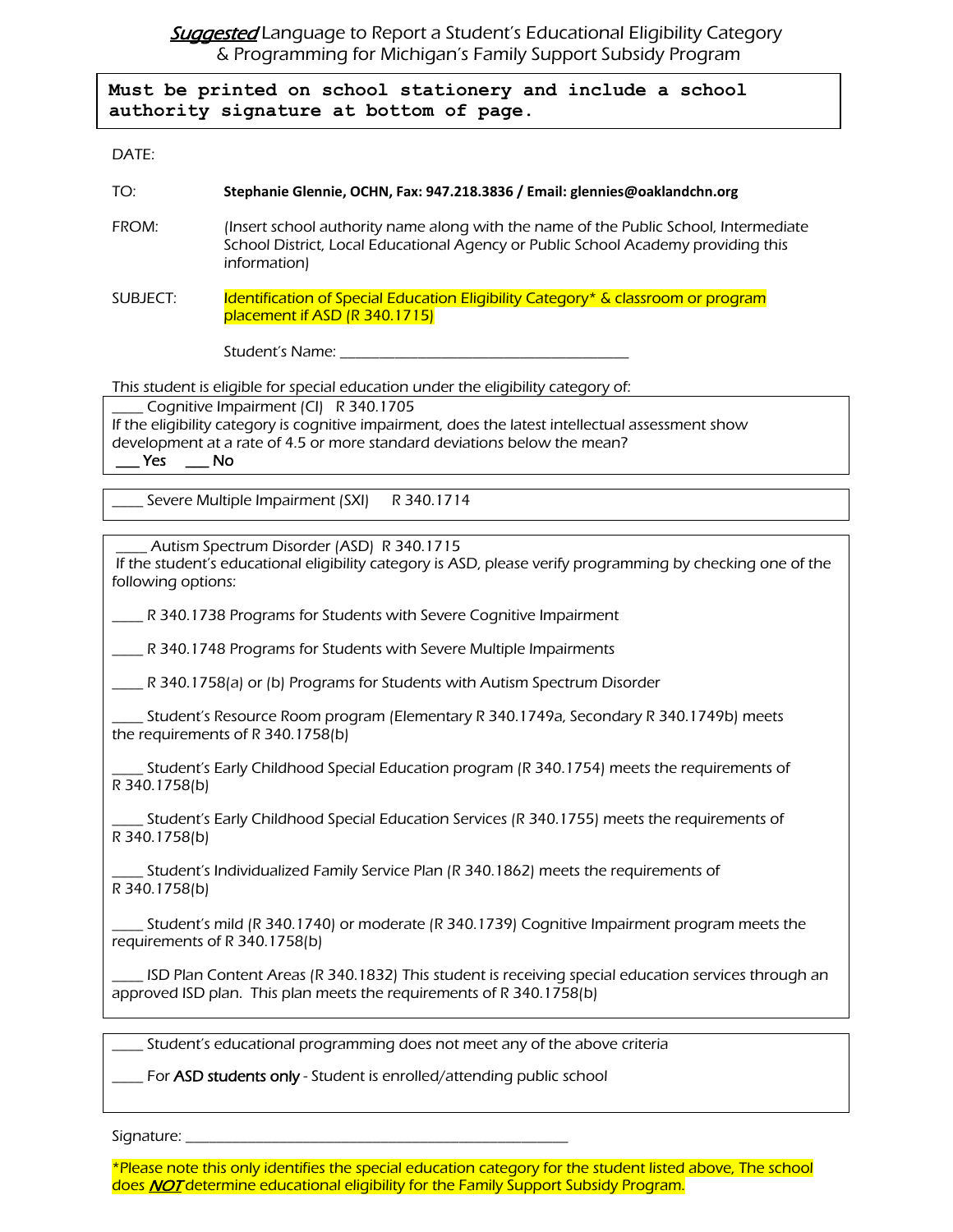**Suggested** Language to Report a Student's Educational Eligibility Category & Programming for Michigan's Family Support Subsidy Program

**Must be printed on school stationery and include a school authority signature at bottom of page.**

DATE:

#### TO: **Stephanie Glennie, OCHN, Fax: 947.218.3836 / Email: glennies@oaklandchn.org**

FROM: (Insert school authority name along with the name of the Public School, Intermediate School District, Local Educational Agency or Public School Academy providing this information)

SUBJECT: Identification of Special Education Eligibility Category\* & classroom or program placement if ASD (R 340.1715)

Student's Name: \_\_\_\_\_\_\_\_\_\_\_\_\_\_\_\_\_\_\_\_\_\_\_\_\_\_\_\_\_\_\_\_\_\_\_\_\_

This student is eligible for special education under the eligibility category of:

\_\_\_\_ Cognitive Impairment (CI) R 340.1705

If the eligibility category is cognitive impairment, does the latest intellectual assessment show development at a rate of 4.5 or more standard deviations below the mean?  $Yes$  \_\_\_ No

Severe Multiple Impairment (SXI) R 340.1714

Autism Spectrum Disorder (ASD) R 340.1715

 If the student's educational eligibility category is ASD, please verify programming by checking one of the following options:

\_\_\_\_ R 340.1738 Programs for Students with Severe Cognitive Impairment

\_\_\_\_ R 340.1748 Programs for Students with Severe Multiple Impairments

\_\_\_\_ R 340.1758(a) or (b) Programs for Students with Autism Spectrum Disorder

\_\_\_\_ Student's Resource Room program (Elementary R 340.1749a, Secondary R 340.1749b) meets the requirements of R 340.1758(b)

Student's Early Childhood Special Education program (R 340.1754) meets the requirements of R 340.1758(b)

Student's Early Childhood Special Education Services (R 340.1755) meets the requirements of R 340.1758(b)

\_\_\_\_ Student's Individualized Family Service Plan (R 340.1862) meets the requirements of R 340.1758(b)

\_\_\_\_ Student's mild (R 340.1740) or moderate (R 340.1739) Cognitive Impairment program meets the requirements of R 340.1758(b)

ISD Plan Content Areas (R 340.1832) This student is receiving special education services through an approved ISD plan. This plan meets the requirements of R 340.1758(b)

Student's educational programming does not meet any of the above criteria

For ASD students only - Student is enrolled/attending public school

Signature:

\*Please note this only identifies the special education category for the student listed above, The school does **NOT** determine educational eligibility for the Family Support Subsidy Program.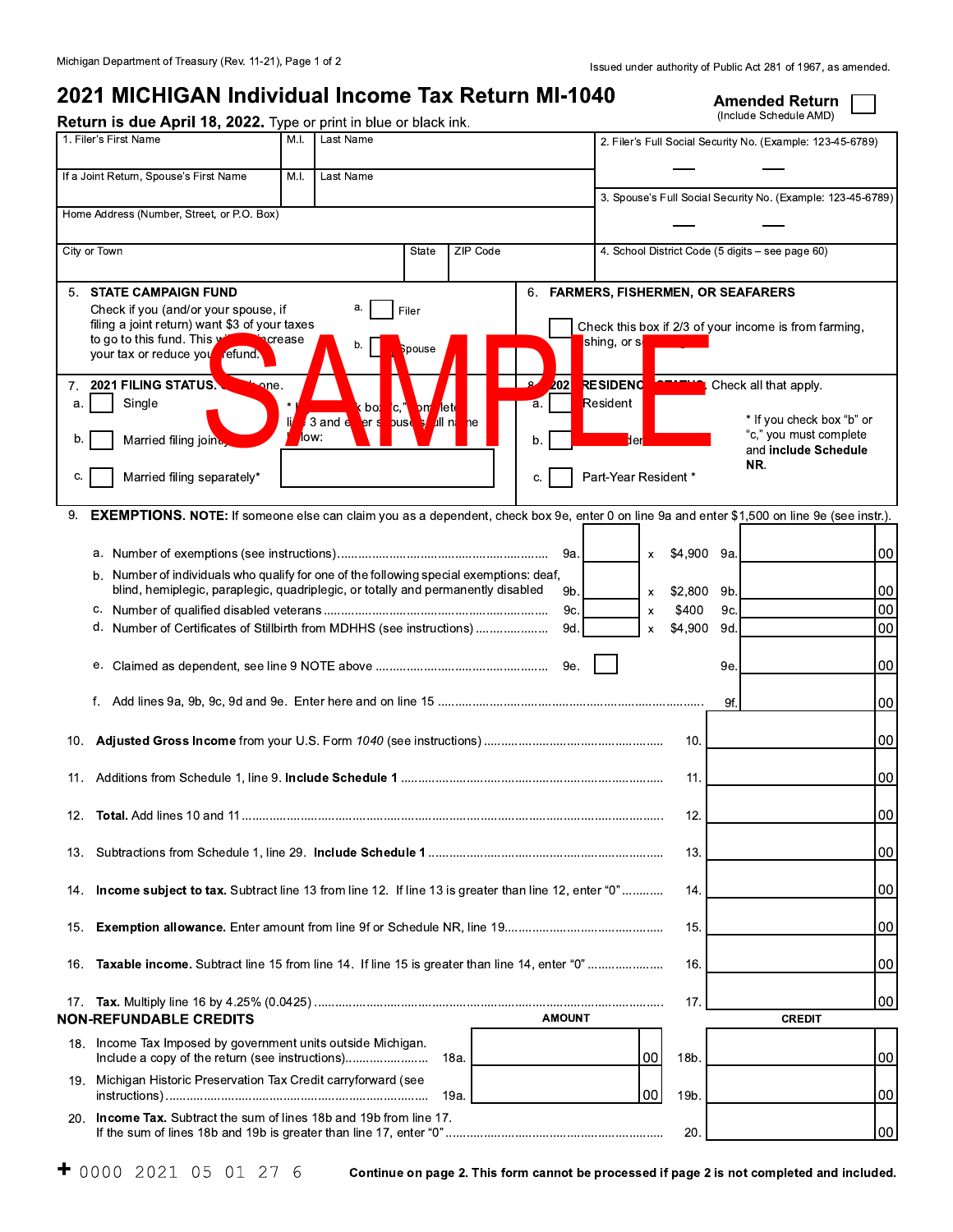|              | Return is due April 18, 2022. Type or print in blue or black ink.                                                                              |                |                                                           |                                               | 2021 MICHIGAN Individual Income Tax Return MI-1040 |               |                                     |                   |                       |     | <b>Amended Return</b><br>(Include Schedule AMD)             |  |
|--------------|------------------------------------------------------------------------------------------------------------------------------------------------|----------------|-----------------------------------------------------------|-----------------------------------------------|----------------------------------------------------|---------------|-------------------------------------|-------------------|-----------------------|-----|-------------------------------------------------------------|--|
|              | 1. Filer's First Name                                                                                                                          | M.I.           | Last Name                                                 |                                               |                                                    |               |                                     |                   |                       |     | 2. Filer's Full Social Security No. (Example: 123-45-6789)  |  |
|              | If a Joint Return, Spouse's First Name                                                                                                         | M.I.           | Last Name                                                 |                                               |                                                    |               |                                     |                   |                       |     |                                                             |  |
|              | Home Address (Number, Street, or P.O. Box)                                                                                                     |                |                                                           |                                               |                                                    |               |                                     |                   |                       |     | 3. Spouse's Full Social Security No. (Example: 123-45-6789) |  |
| City or Town |                                                                                                                                                |                |                                                           | State                                         | ZIP Code                                           |               |                                     |                   |                       |     | 4. School District Code (5 digits - see page 60)            |  |
|              | 5. STATE CAMPAIGN FUND                                                                                                                         |                |                                                           |                                               |                                                    |               | 6. FARMERS, FISHERMEN, OR SEAFARERS |                   |                       |     |                                                             |  |
|              | Check if you (and/or your spouse, if<br>filing a joint return) want \$3 of your taxes                                                          |                | а.                                                        | Filer                                         |                                                    |               |                                     |                   |                       |     | Check this box if 2/3 of your income is from farming,       |  |
|              | to go to this fund. This y<br>your tax or reduce you refund.                                                                                   | <b>acrease</b> |                                                           | pouse                                         |                                                    |               | shing, or s <mark>l</mark>          |                   |                       |     |                                                             |  |
|              | 7. 2021 FILING STATUS.<br>one.                                                                                                                 |                |                                                           |                                               |                                                    | 202           | RESIDENC                            |                   |                       |     | Check all that apply.                                       |  |
| a.           | Single                                                                                                                                         |                | k po <mark>l</mark><br>$ {\bf c} $<br>$3$ and $e$<br>er s | om let <mark>e</mark><br><b>bust</b><br>All n | he                                                 | ъ.            | Resident                            |                   |                       |     | * If you check box "b" or                                   |  |
| b.           | Married filing join.                                                                                                                           | low:           |                                                           |                                               |                                                    |               |                                     | ber               |                       |     | "c," you must complete<br>and include Schedule              |  |
| C.           | Married filing separately*                                                                                                                     |                |                                                           |                                               |                                                    |               | Part-Year Resident *                |                   |                       |     | NR.                                                         |  |
|              | 9. EXEMPTIONS. NOTE: If someone else can claim you as a dependent, check box 9e, enter 0 on line 9a and enter \$1,500 on line 9e (see instr.). |                |                                                           |                                               |                                                    |               |                                     |                   |                       |     |                                                             |  |
|              |                                                                                                                                                |                |                                                           |                                               |                                                    |               |                                     |                   | \$4,900 9a.           |     |                                                             |  |
|              | b. Number of individuals who qualify for one of the following special exemptions: deaf,                                                        |                |                                                           |                                               |                                                    |               |                                     | $\mathsf{x}$      |                       |     |                                                             |  |
|              | blind, hemiplegic, paraplegic, quadriplegic, or totally and permanently disabled                                                               |                |                                                           |                                               |                                                    | 9b.<br>9c.    |                                     | $\mathsf{x}$<br>x | $$2,800$ 9b.<br>\$400 | 9c. |                                                             |  |
|              | d. Number of Certificates of Stillbirth from MDHHS (see instructions)                                                                          |                |                                                           |                                               |                                                    | 9d.           |                                     | $\mathsf{x}$      | \$4,900               | 9d. |                                                             |  |
|              |                                                                                                                                                |                |                                                           |                                               |                                                    |               |                                     |                   |                       | 9е. |                                                             |  |
|              |                                                                                                                                                |                |                                                           |                                               |                                                    |               |                                     |                   |                       | 9f. |                                                             |  |
|              |                                                                                                                                                |                |                                                           |                                               |                                                    |               |                                     |                   | 10.                   |     |                                                             |  |
| 11.          |                                                                                                                                                |                |                                                           |                                               |                                                    |               |                                     |                   | 11.                   |     |                                                             |  |
| 12.          |                                                                                                                                                |                |                                                           |                                               |                                                    |               |                                     |                   | 12.                   |     |                                                             |  |
| 13.          |                                                                                                                                                |                |                                                           |                                               |                                                    |               |                                     |                   | 13.                   |     |                                                             |  |
| 14.          | Income subject to tax. Subtract line 13 from line 12. If line 13 is greater than line 12, enter "0"                                            |                |                                                           |                                               |                                                    |               |                                     |                   | 14.                   |     |                                                             |  |
| 15.          |                                                                                                                                                |                |                                                           |                                               |                                                    |               |                                     |                   | 15.                   |     |                                                             |  |
| 16.          | Taxable income. Subtract line 15 from line 14. If line 15 is greater than line 14, enter "0"                                                   |                |                                                           |                                               |                                                    |               |                                     |                   | 16.                   |     |                                                             |  |
|              |                                                                                                                                                |                |                                                           |                                               |                                                    |               |                                     |                   | 17.                   |     |                                                             |  |
|              | <b>NON-REFUNDABLE CREDITS</b>                                                                                                                  |                |                                                           |                                               |                                                    | <b>AMOUNT</b> |                                     |                   |                       |     | <b>CREDIT</b>                                               |  |
|              | 18. Income Tax Imposed by government units outside Michigan.<br>Include a copy of the return (see instructions)                                |                |                                                           |                                               | 18a.                                               |               |                                     | 00 <sub>1</sub>   | 18b.                  |     |                                                             |  |
| 19.          | Michigan Historic Preservation Tax Credit carryforward (see                                                                                    |                |                                                           |                                               | 19a.                                               |               |                                     | 00                | 19b.                  |     |                                                             |  |
| 20.          | Income Tax. Subtract the sum of lines 18b and 19b from line 17.                                                                                |                |                                                           |                                               |                                                    |               |                                     |                   | 20                    |     |                                                             |  |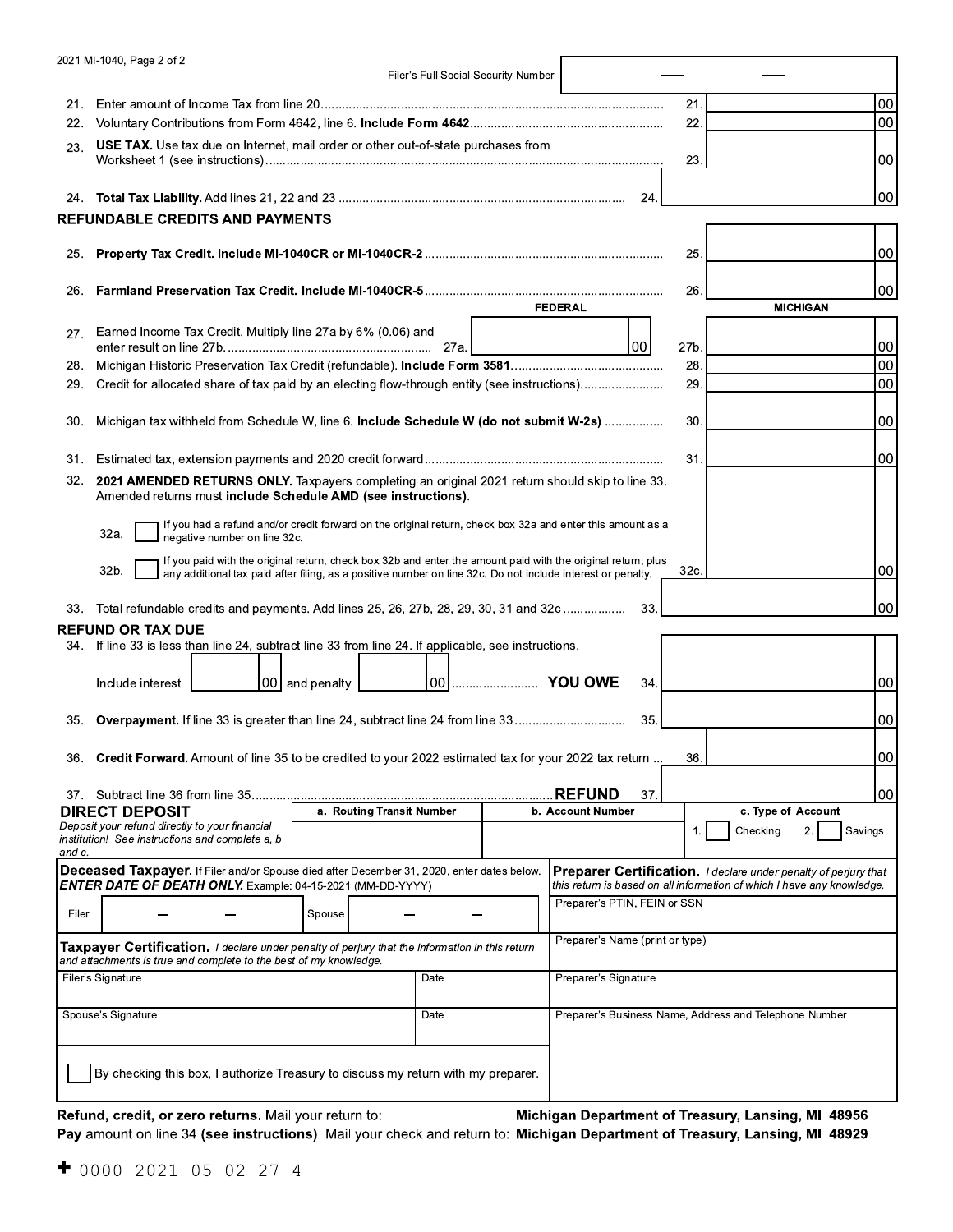|            | 2021 MI-1040, Page 2 of 2                                                                                                                                                                                                           |                           |      | Filer's Full Social Security Number |                                 |      |                                                                                                                                                         |         |
|------------|-------------------------------------------------------------------------------------------------------------------------------------------------------------------------------------------------------------------------------------|---------------------------|------|-------------------------------------|---------------------------------|------|---------------------------------------------------------------------------------------------------------------------------------------------------------|---------|
| 21.        |                                                                                                                                                                                                                                     |                           |      |                                     |                                 | 21.  |                                                                                                                                                         | 00      |
| 22.        |                                                                                                                                                                                                                                     |                           |      |                                     |                                 | 22.  |                                                                                                                                                         | 00      |
| 23.        | <b>USE TAX.</b> Use tax due on Internet, mail order or other out-of-state purchases from                                                                                                                                            |                           |      |                                     |                                 | 23.  |                                                                                                                                                         | 00      |
|            |                                                                                                                                                                                                                                     |                           |      |                                     | 24.                             |      |                                                                                                                                                         | 00      |
|            | <b>REFUNDABLE CREDITS AND PAYMENTS</b>                                                                                                                                                                                              |                           |      |                                     |                                 |      |                                                                                                                                                         |         |
| 25.        |                                                                                                                                                                                                                                     |                           |      |                                     |                                 | 25.  |                                                                                                                                                         | 00      |
| 26.        |                                                                                                                                                                                                                                     |                           |      |                                     | <b>FEDERAL</b>                  | 26   | <b>MICHIGAN</b>                                                                                                                                         | 00      |
| 27.        | Earned Income Tax Credit. Multiply line 27a by 6% (0.06) and                                                                                                                                                                        |                           | 27a. |                                     | 00                              | 27b. |                                                                                                                                                         | 00      |
| 28.        |                                                                                                                                                                                                                                     |                           |      |                                     |                                 | 28.  |                                                                                                                                                         | 00      |
| 29.        | Credit for allocated share of tax paid by an electing flow-through entity (see instructions)                                                                                                                                        |                           |      |                                     |                                 | 29.  |                                                                                                                                                         | 00      |
| 30.        | Michigan tax withheld from Schedule W, line 6. Include Schedule W (do not submit W-2s)                                                                                                                                              |                           |      |                                     |                                 | 30.  |                                                                                                                                                         | 00      |
|            |                                                                                                                                                                                                                                     |                           |      |                                     |                                 | 31   |                                                                                                                                                         | 00      |
| 31.<br>32. | 2021 AMENDED RETURNS ONLY. Taxpayers completing an original 2021 return should skip to line 33.<br>Amended returns must include Schedule AMD (see instructions).                                                                    |                           |      |                                     |                                 |      |                                                                                                                                                         |         |
|            | If you had a refund and/or credit forward on the original return, check box 32a and enter this amount as a<br>32a.<br>negative number on line 32c.                                                                                  |                           |      |                                     |                                 |      |                                                                                                                                                         |         |
|            | If you paid with the original return, check box 32b and enter the amount paid with the original return, plus<br>32b.<br>any additional tax paid after filing, as a positive number on line 32c. Do not include interest or penalty. |                           |      |                                     |                                 | 32c. |                                                                                                                                                         | 00      |
| 33.        | Total refundable credits and payments. Add lines 25, 26, 27b, 28, 29, 30, 31 and 32c                                                                                                                                                |                           |      |                                     | 33.                             |      |                                                                                                                                                         | 00      |
|            | <b>REFUND OR TAX DUE</b>                                                                                                                                                                                                            |                           |      |                                     |                                 |      |                                                                                                                                                         |         |
|            | 34. If line 33 is less than line 24, subtract line 33 from line 24. If applicable, see instructions.                                                                                                                                |                           |      |                                     |                                 |      |                                                                                                                                                         |         |
|            | Include interest                                                                                                                                                                                                                    | 00 and penalty            |      |                                     | 34                              |      |                                                                                                                                                         | 00      |
| 35.        | <b>Overpayment.</b> If line 33 is greater than line 24, subtract line 24 from line 33                                                                                                                                               |                           |      |                                     | 35.                             |      |                                                                                                                                                         | 00      |
| 36.        | Credit Forward. Amount of line 35 to be credited to your 2022 estimated tax for your 2022 tax return                                                                                                                                |                           |      |                                     |                                 | 36.  |                                                                                                                                                         | 00      |
|            |                                                                                                                                                                                                                                     |                           |      |                                     | <b>REFUND</b><br>37.            |      |                                                                                                                                                         | 00      |
|            | <b>DIRECT DEPOSIT</b>                                                                                                                                                                                                               | a. Routing Transit Number |      |                                     | b. Account Number               |      | c. Type of Account                                                                                                                                      |         |
| and c.     | Deposit your refund directly to your financial<br>institution! See instructions and complete a, b                                                                                                                                   |                           |      |                                     |                                 |      | 2.<br>Checking                                                                                                                                          | Savings |
|            | Deceased Taxpayer. If Filer and/or Spouse died after December 31, 2020, enter dates below.<br><b>ENTER DATE OF DEATH ONLY.</b> Example: 04-15-2021 (MM-DD-YYYY)                                                                     |                           |      |                                     |                                 |      | <b>Preparer Certification.</b> <i>I declare under penalty of perjury that</i><br>this return is based on all information of which I have any knowledge. |         |
| Filer      |                                                                                                                                                                                                                                     | Spouse                    |      |                                     | Preparer's PTIN, FEIN or SSN    |      |                                                                                                                                                         |         |
|            | <b>Taxpayer Certification.</b> I declare under penalty of perjury that the information in this return<br>and attachments is true and complete to the best of my knowledge.                                                          |                           |      |                                     | Preparer's Name (print or type) |      |                                                                                                                                                         |         |
|            | Filer's Signature                                                                                                                                                                                                                   |                           | Date |                                     | Preparer's Signature            |      |                                                                                                                                                         |         |
|            | Spouse's Signature                                                                                                                                                                                                                  |                           | Date |                                     |                                 |      | Preparer's Business Name, Address and Telephone Number                                                                                                  |         |
|            | By checking this box, I authorize Treasury to discuss my return with my preparer.                                                                                                                                                   |                           |      |                                     |                                 |      |                                                                                                                                                         |         |

Refund, credit, or zero returns. Mail your return to: Michigan Department of Treasury, Lansing, MI 48956 Pay amount on line 34 (see instructions). Mail your check and return to: Michigan Department of Treasury, Lansing, MI 48929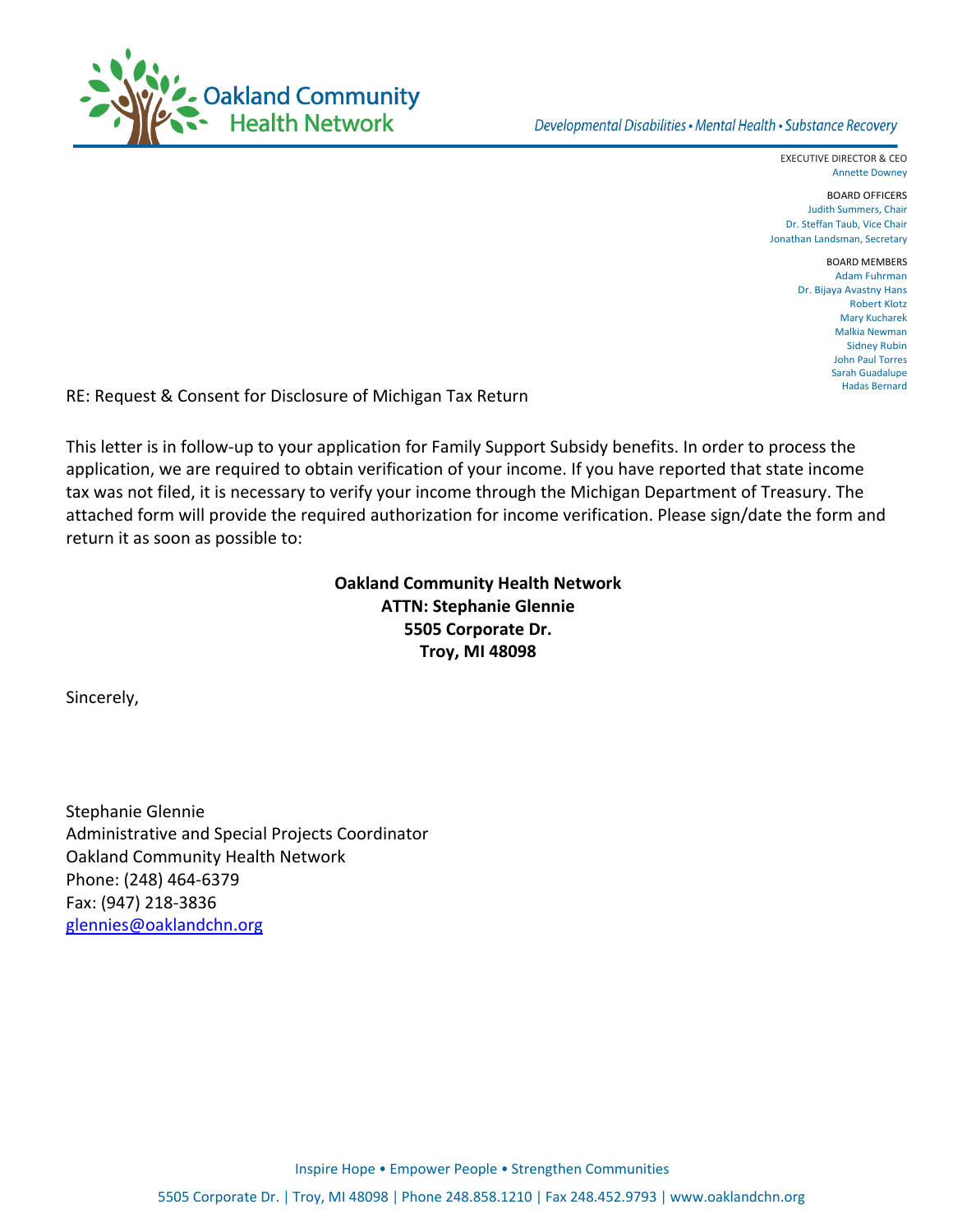

EXECUTIVE DIRECTOR & CEO Annette Downey

BOARD OFFICERS Judith Summers, Chair Dr. Steffan Taub, Vice Chair Jonathan Landsman, Secretary

> BOARD MEMBERS Adam Fuhrman Dr. Bijaya Avastny Hans Robert Klotz Mary Kucharek Malkia Newman Sidney Rubin John Paul Torres Sarah Guadalupe Hadas Bernard

RE: Request & Consent for Disclosure of Michigan Tax Return

This letter is in follow‐up to your application for Family Support Subsidy benefits. In order to process the application, we are required to obtain verification of your income. If you have reported that state income tax was not filed, it is necessary to verify your income through the Michigan Department of Treasury. The attached form will provide the required authorization for income verification. Please sign/date the form and return it as soon as possible to:

> **Oakland Community Health Network ATTN: Stephanie Glennie 5505 Corporate Dr. Troy, MI 48098**

Sincerely,

Stephanie Glennie Administrative and Special Projects Coordinator Oakland Community Health Network Phone: (248) 464‐6379 Fax: (947) 218‐3836 glennies@oaklandchn.org

Inspire Hope • Empower People • Strengthen Communities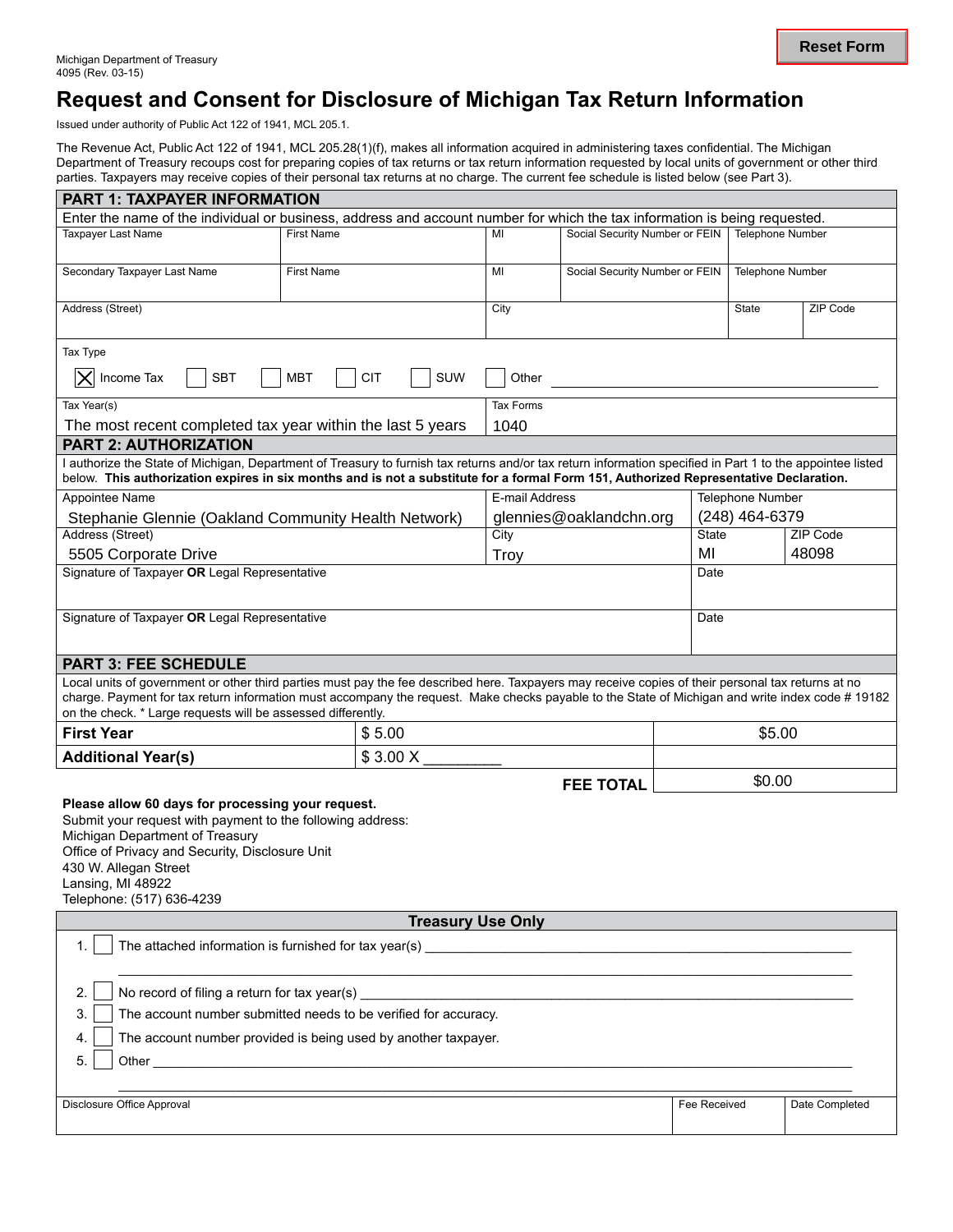## **Request and Consent for Disclosure of Michigan Tax Return Information**

Issued under authority of Public Act 122 of 1941, MCL 205.1.

The Revenue Act, Public Act 122 of 1941, MCL 205.28(1)(f), makes all information acquired in administering taxes confidential. The Michigan Department of Treasury recoups cost for preparing copies of tax returns or tax return information requested by local units of government or other third parties. Taxpayers may receive copies of their personal tax returns at no charge. The current fee schedule is listed below (see Part 3).

| <b>PART 1: TAXPAYER INFORMATION</b>                                                                                                                                                                                                                                                                                                                                    |                                                                 |                  |                                |              |                         |                   |
|------------------------------------------------------------------------------------------------------------------------------------------------------------------------------------------------------------------------------------------------------------------------------------------------------------------------------------------------------------------------|-----------------------------------------------------------------|------------------|--------------------------------|--------------|-------------------------|-------------------|
| Enter the name of the individual or business, address and account number for which the tax information is being requested.                                                                                                                                                                                                                                             |                                                                 |                  |                                |              |                         |                   |
| <b>Taxpayer Last Name</b>                                                                                                                                                                                                                                                                                                                                              | <b>First Name</b>                                               | МΙ               | Social Security Number or FEIN |              | <b>Telephone Number</b> |                   |
| Secondary Taxpayer Last Name                                                                                                                                                                                                                                                                                                                                           | <b>First Name</b>                                               | MI               | Social Security Number or FEIN |              | Telephone Number        |                   |
| Address (Street)                                                                                                                                                                                                                                                                                                                                                       |                                                                 |                  | <b>State</b>                   | ZIP Code     |                         |                   |
| Tax Type                                                                                                                                                                                                                                                                                                                                                               |                                                                 |                  |                                |              |                         |                   |
| Income Tax<br><b>SBT</b><br><b>MBT</b><br><b>CIT</b><br><b>SUW</b><br>Other                                                                                                                                                                                                                                                                                            |                                                                 |                  |                                |              |                         |                   |
| Tax Year(s)                                                                                                                                                                                                                                                                                                                                                            |                                                                 | <b>Tax Forms</b> |                                |              |                         |                   |
| The most recent completed tax year within the last 5 years<br><b>PART 2: AUTHORIZATION</b>                                                                                                                                                                                                                                                                             |                                                                 | 1040             |                                |              |                         |                   |
| I authorize the State of Michigan, Department of Treasury to furnish tax returns and/or tax return information specified in Part 1 to the appointee listed<br>below. This authorization expires in six months and is not a substitute for a formal Form 151, Authorized Representative Declaration.                                                                    |                                                                 |                  |                                |              |                         |                   |
| Appointee Name                                                                                                                                                                                                                                                                                                                                                         |                                                                 | E-mail Address   |                                |              | <b>Telephone Number</b> |                   |
| Stephanie Glennie (Oakland Community Health Network)                                                                                                                                                                                                                                                                                                                   |                                                                 |                  | glennies@oaklandchn.org        |              | (248) 464-6379          |                   |
| Address (Street)                                                                                                                                                                                                                                                                                                                                                       |                                                                 | City             |                                | <b>State</b> |                         | ZIP Code<br>48098 |
| 5505 Corporate Drive<br>Signature of Taxpayer OR Legal Representative                                                                                                                                                                                                                                                                                                  |                                                                 | Troy             |                                | MI<br>Date   |                         |                   |
|                                                                                                                                                                                                                                                                                                                                                                        |                                                                 |                  |                                |              |                         |                   |
| Signature of Taxpayer OR Legal Representative                                                                                                                                                                                                                                                                                                                          |                                                                 |                  |                                | Date         |                         |                   |
| <b>PART 3: FEE SCHEDULE</b>                                                                                                                                                                                                                                                                                                                                            |                                                                 |                  |                                |              |                         |                   |
| Local units of government or other third parties must pay the fee described here. Taxpayers may receive copies of their personal tax returns at no<br>charge. Payment for tax return information must accompany the request. Make checks payable to the State of Michigan and write index code # 19182<br>on the check. * Large requests will be assessed differently. |                                                                 |                  |                                |              |                         |                   |
| <b>First Year</b>                                                                                                                                                                                                                                                                                                                                                      | \$5.00                                                          |                  |                                |              | \$5.00                  |                   |
| <b>Additional Year(s)</b>                                                                                                                                                                                                                                                                                                                                              | \$3.00 X                                                        |                  |                                |              |                         |                   |
|                                                                                                                                                                                                                                                                                                                                                                        |                                                                 |                  | <b>FEE TOTAL</b>               |              | \$0.00                  |                   |
| Please allow 60 days for processing your request.<br>Submit your request with payment to the following address:<br>Michigan Department of Treasury<br>Office of Privacy and Security, Disclosure Unit<br>430 W. Allegan Street<br>Lansing, MI 48922<br>Telephone: (517) 636-4239                                                                                       |                                                                 |                  |                                |              |                         |                   |
| <b>Treasury Use Only</b>                                                                                                                                                                                                                                                                                                                                               |                                                                 |                  |                                |              |                         |                   |
| The attached information is furnished for tax year(s)<br>1 <sub>1</sub><br><u> 1989 - Johann John Stein, mars et al. 1989 - John Stein, mars et al. 1989 - John Stein, mars et al. 1989 - John Stein, mars et al. 1989 - John Stein, mars et al. 1989 - John Stein, mars et al. 1989 - John Stein, mars et </u>                                                        |                                                                 |                  |                                |              |                         |                   |
| 2.<br>No record of filing a return for tax year(s)                                                                                                                                                                                                                                                                                                                     |                                                                 |                  |                                |              |                         |                   |
| 3.                                                                                                                                                                                                                                                                                                                                                                     | The account number submitted needs to be verified for accuracy. |                  |                                |              |                         |                   |
| 4.<br>5.                                                                                                                                                                                                                                                                                                                                                               | The account number provided is being used by another taxpayer.  |                  |                                |              |                         |                   |
|                                                                                                                                                                                                                                                                                                                                                                        |                                                                 |                  |                                |              |                         |                   |
| Disclosure Office Approval                                                                                                                                                                                                                                                                                                                                             |                                                                 |                  |                                | Fee Received |                         | Date Completed    |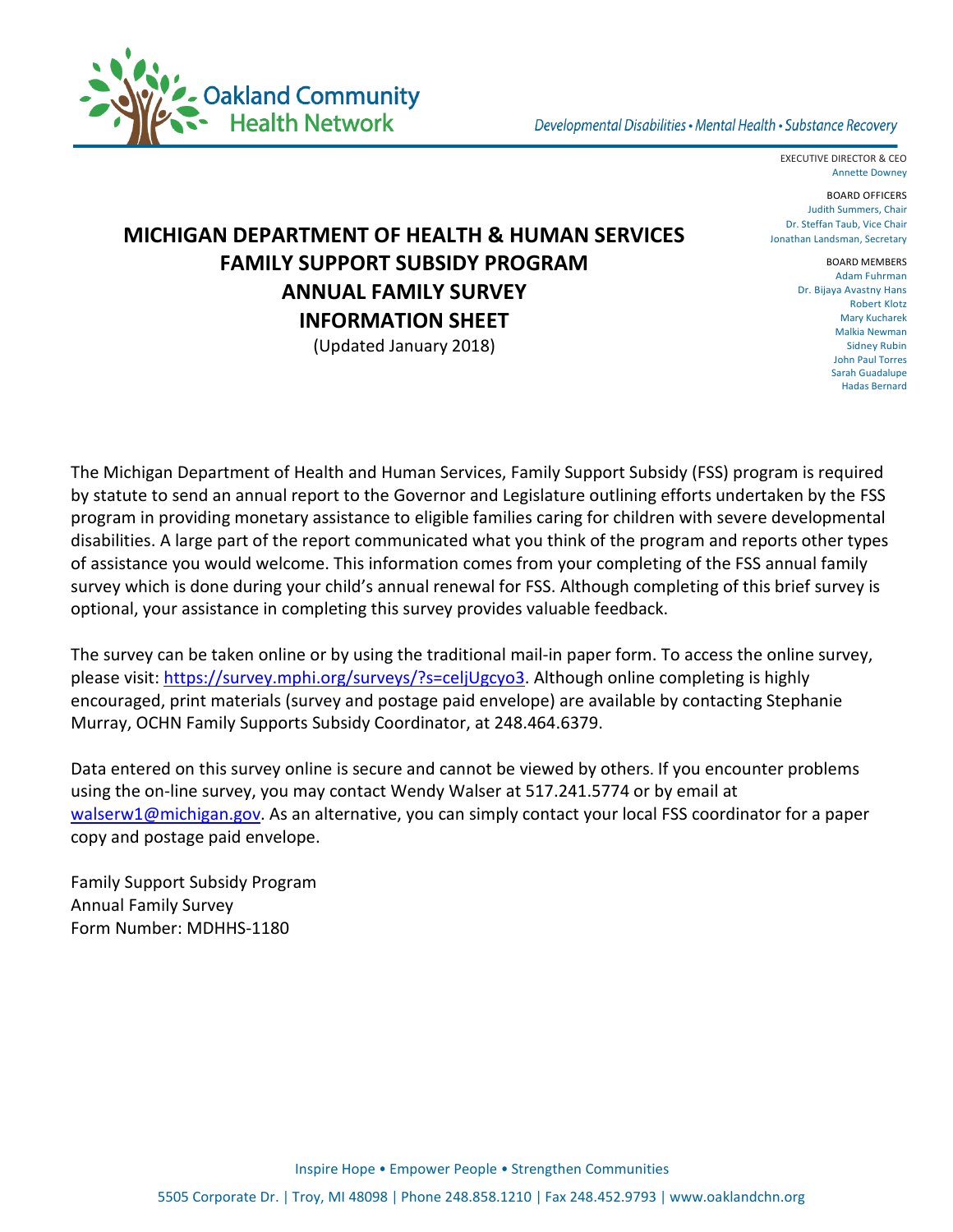

EXECUTIVE DIRECTOR & CEO Annette Downey

BOARD OFFICERS Judith Summers, Chair Dr. Steffan Taub, Vice Chair Jonathan Landsman, Secretary

## **MICHIGAN DEPARTMENT OF HEALTH & HUMAN SERVICES FAMILY SUPPORT SUBSIDY PROGRAM ANNUAL FAMILY SURVEY INFORMATION SHEET**

(Updated January 2018)

BOARD MEMBERS Adam Fuhrman Dr. Bijaya Avastny Hans Robert Klotz Mary Kucharek Malkia Newman Sidney Rubin John Paul Torres Sarah Guadalupe Hadas Bernard

The Michigan Department of Health and Human Services, Family Support Subsidy (FSS) program is required by statute to send an annual report to the Governor and Legislature outlining efforts undertaken by the FSS program in providing monetary assistance to eligible families caring for children with severe developmental disabilities. A large part of the report communicated what you think of the program and reports other types of assistance you would welcome. This information comes from your completing of the FSS annual family survey which is done during your child's annual renewal for FSS. Although completing of this brief survey is optional, your assistance in completing this survey provides valuable feedback.

The survey can be taken online or by using the traditional mail-in paper form. To access the online survey, please visit: [https://survey.mphi.org/surveys/?s=celjUgcyo3.](https://survey.mphi.org/surveys/?s=celjUgcyo3) Although online completing is highly encouraged, print materials (survey and postage paid envelope) are available by contacting Stephanie Murray, OCHN Family Supports Subsidy Coordinator, at 248.464.6379.

Data entered on this survey online is secure and cannot be viewed by others. If you encounter problems using the on-line survey, you may contact Wendy Walser at 517.241.5774 or by email at [walserw1@michigan.gov.](mailto:walserw1@michigan.gov) As an alternative, you can simply contact your local FSS coordinator for a paper copy and postage paid envelope.

Family Support Subsidy Program Annual Family Survey Form Number: MDHHS-1180

Inspire Hope • Empower People • Strengthen Communities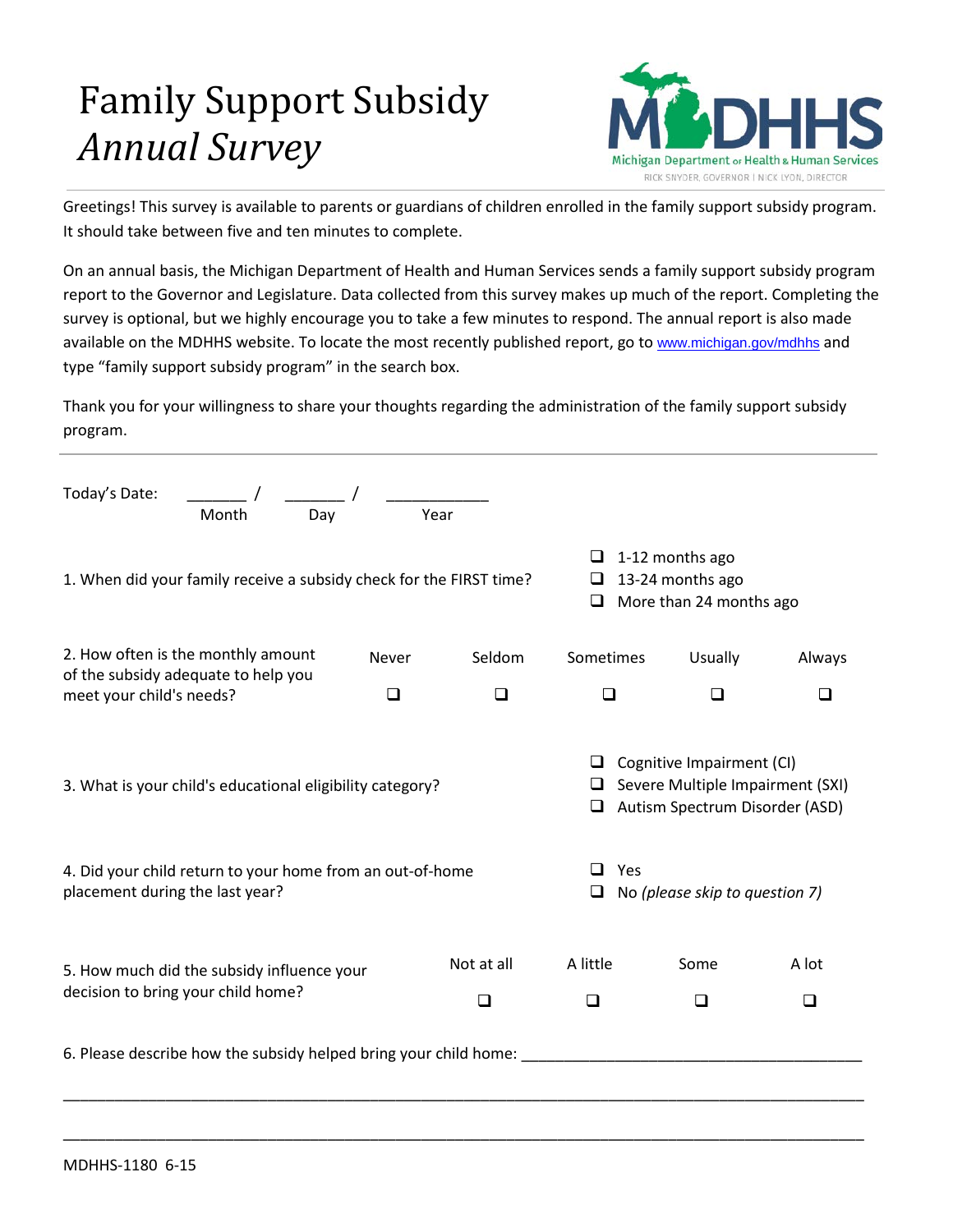# Family Support Subsidy *Annual Survey*



Greetings! This survey is available to parents or guardians of children enrolled in the family support subsidy program. It should take between five and ten minutes to complete.

On an annual basis, the Michigan Department of Health and Human Services sends a family support subsidy program report to the Governor and Legislature. Data collected from this survey makes up much of the report. Completing the survey is optional, but we highly encourage you to take a few minutes to respond. The annual report is also made available on the MDHHS website. To locate the most recently published report, go to [www.michigan.gov/mdhhs](http://www.michigan.gov/mdhhs) and type "family support subsidy program" in the search box.

Thank you for your willingness to share your thoughts regarding the administration of the family support subsidy program.

| Today's Date:<br>Day<br>Month                                                                                                                             | Year                                                                            |           |                                                                                                                                   |                |        |
|-----------------------------------------------------------------------------------------------------------------------------------------------------------|---------------------------------------------------------------------------------|-----------|-----------------------------------------------------------------------------------------------------------------------------------|----------------|--------|
| 1. When did your family receive a subsidy check for the FIRST time?                                                                                       | $\Box$ 1-12 months ago<br>13-24 months ago<br>ப<br>More than 24 months ago<br>⊔ |           |                                                                                                                                   |                |        |
| 2. How often is the monthly amount<br>of the subsidy adequate to help you                                                                                 | <b>Never</b>                                                                    | Seldom    | Sometimes                                                                                                                         | <b>Usually</b> | Always |
| meet your child's needs?                                                                                                                                  | ◻                                                                               | $\Box$    | ❏                                                                                                                                 | □              | ❏      |
| 3. What is your child's educational eligibility category?<br>4. Did your child return to your home from an out-of-home<br>placement during the last year? |                                                                                 | Yes<br>⊔  | Cognitive Impairment (CI)<br>Severe Multiple Impairment (SXI)<br>Autism Spectrum Disorder (ASD)<br>No (please skip to question 7) |                |        |
| 5. How much did the subsidy influence your<br>decision to bring your child home?                                                                          | A little<br>$\Box$                                                              | Some<br>◻ | A lot<br>◻                                                                                                                        |                |        |
| 6. Please describe how the subsidy helped bring your child home:                                                                                          |                                                                                 |           |                                                                                                                                   |                |        |

\_\_\_\_\_\_\_\_\_\_\_\_\_\_\_\_\_\_\_\_\_\_\_\_\_\_\_\_\_\_\_\_\_\_\_\_\_\_\_\_\_\_\_\_\_\_\_\_\_\_\_\_\_\_\_\_\_\_\_\_\_\_\_\_\_\_\_\_\_\_\_\_\_\_\_\_\_\_\_\_\_\_\_\_\_\_\_\_\_\_\_\_\_\_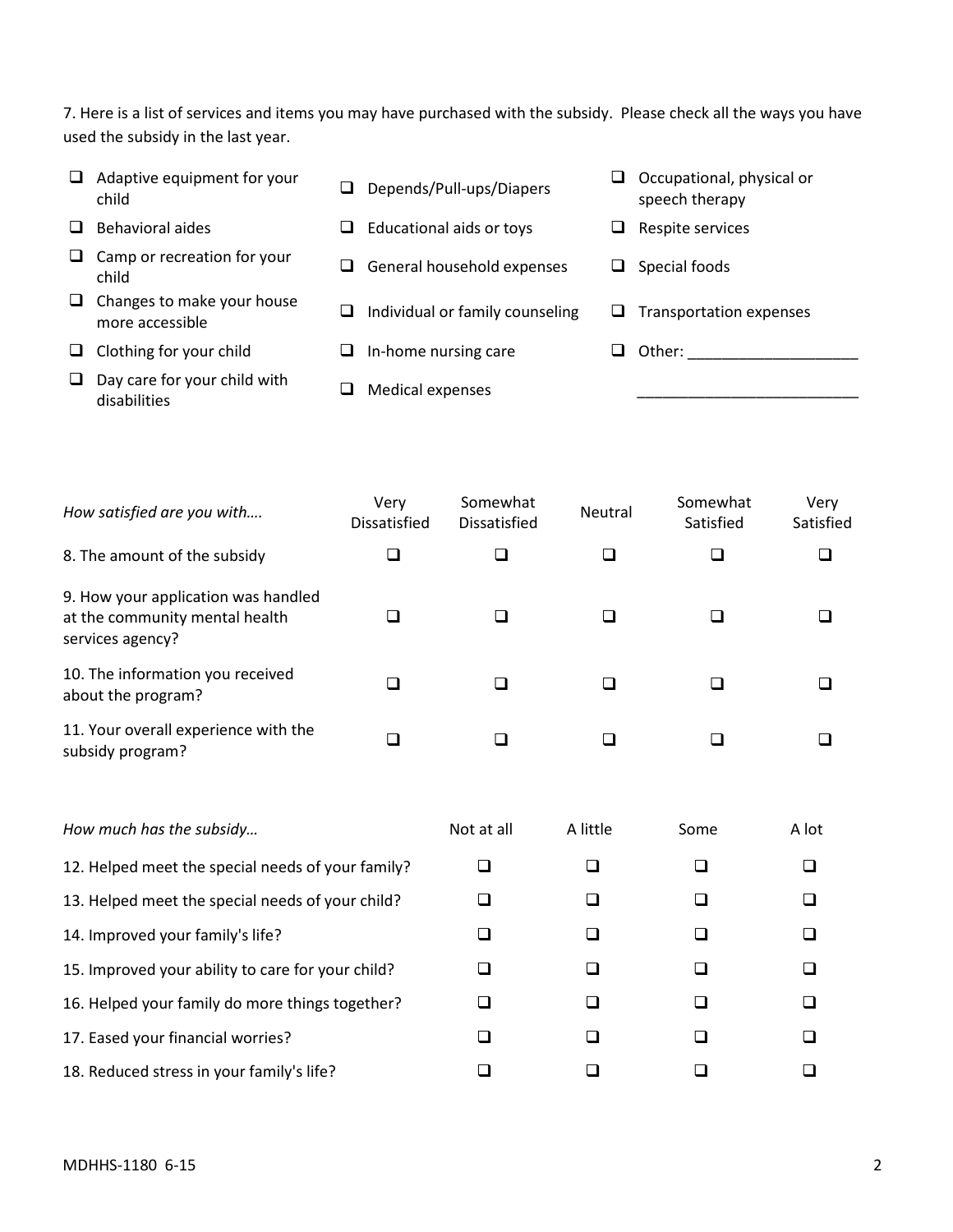7. Here is a list of services and items you may have purchased with the subsidy. Please check all the ways you have used the subsidy in the last year.

| ப | Adaptive equipment for your<br>child          | ⊔ | Depends/Pull-ups/Diapers        | ⊔  | Occupational, physical or<br>speech therapy |
|---|-----------------------------------------------|---|---------------------------------|----|---------------------------------------------|
|   | Behavioral aides                              | ப | Educational aids or toys        | ⊔  | Respite services                            |
| ⊔ | Camp or recreation for your<br>child          | ⊔ | General household expenses      | ⊔  | Special foods                               |
| u | Changes to make your house<br>more accessible | ⊔ | Individual or family counseling | ⊔. | Transportation expenses                     |
| ப | Clothing for your child                       | ப | In-home nursing care            |    | Other:                                      |
| ⊔ | Day care for your child with<br>disabilities  |   | Medical expenses                |    |                                             |

| How satisfied are you with                                                                | Very<br><b>Dissatisfied</b> | Somewhat<br>Dissatisfied | Neutral | Somewhat<br>Satisfied | Very<br>Satisfied |
|-------------------------------------------------------------------------------------------|-----------------------------|--------------------------|---------|-----------------------|-------------------|
| 8. The amount of the subsidy                                                              |                             |                          |         |                       |                   |
| 9. How your application was handled<br>at the community mental health<br>services agency? |                             |                          |         |                       |                   |
| 10. The information you received<br>about the program?                                    |                             |                          |         |                       |                   |
| 11. Your overall experience with the<br>subsidy program?                                  |                             |                          |         |                       |                   |

| How much has the subsidy                          | Not at all | A little | Some | A lot |
|---------------------------------------------------|------------|----------|------|-------|
| 12. Helped meet the special needs of your family? |            |          |      |       |
| 13. Helped meet the special needs of your child?  |            |          |      |       |
| 14. Improved your family's life?                  |            |          |      |       |
| 15. Improved your ability to care for your child? |            |          |      |       |
| 16. Helped your family do more things together?   |            |          |      |       |
| 17. Eased your financial worries?                 |            |          |      |       |
| 18. Reduced stress in your family's life?         |            |          |      |       |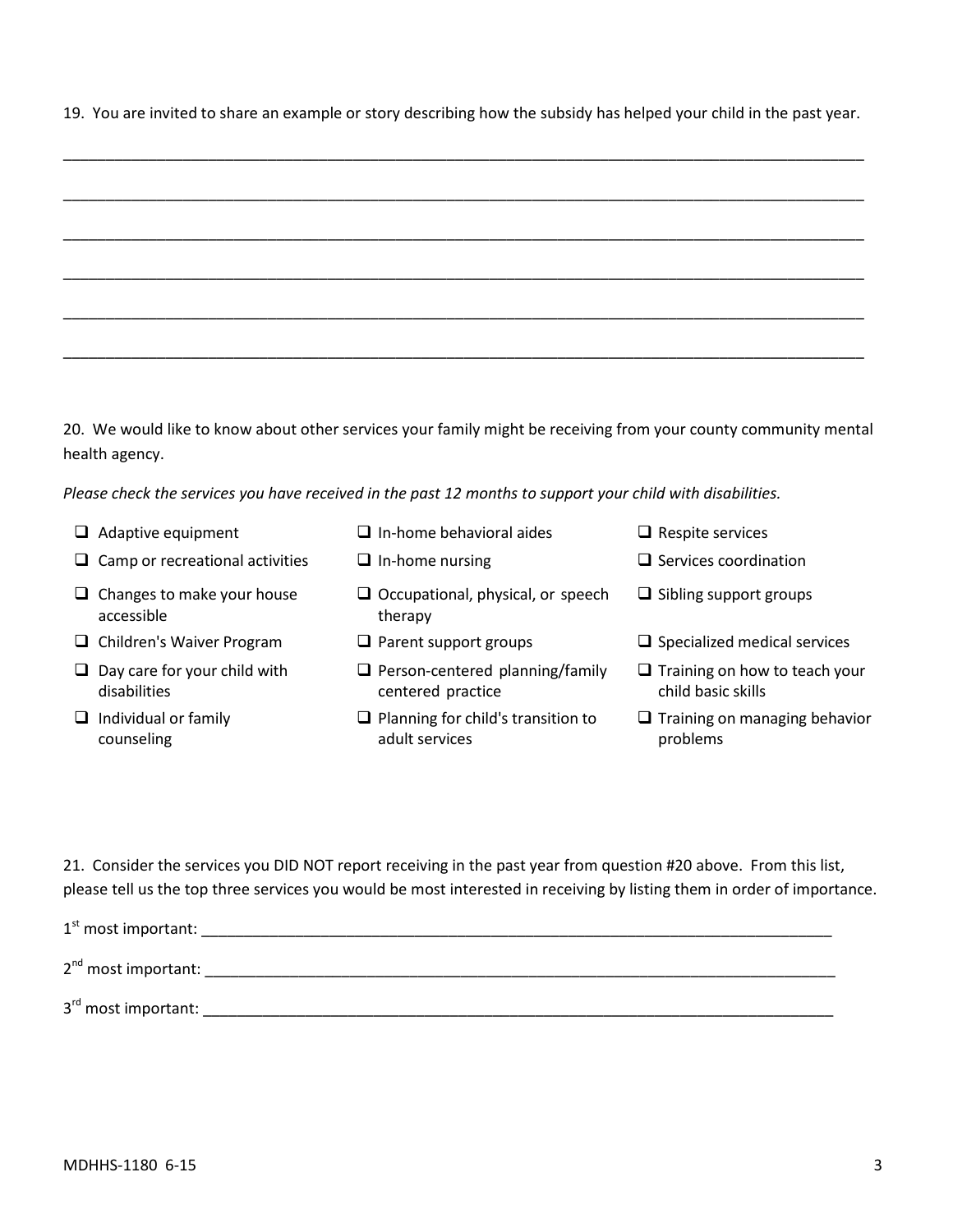19. You are invited to share an example or story describing how the subsidy has helped your child in the past year.

20. We would like to know about other services your family might be receiving from your county community mental health agency.

*Please check the services you have received in the past 12 months to support your child with disabilities.*

- 
- $\Box$  Camp or recreational activities  $\Box$  In-home nursing  $\Box$  Services coordination
- $\Box$  Changes to make your house accessible
- 
- $\Box$  Day care for your child with disabilities
- $\Box$  Individual or family counseling
- $\Box$  Adaptive equipment  $\Box$  In-home behavioral aides  $\Box$  Respite services
	-
	- Occupational, physical, or speech therapy
	-
	- $\Box$  Person-centered planning/family centered practice
	- $\Box$  Planning for child's transition to adult services
- 
- 
- $\Box$  Sibling support groups
- $\Box$  Children's Waiver Program  $\Box$  Parent support groups  $\Box$  Specialized medical services
	- $\Box$  Training on how to teach your child basic skills
	- $\Box$  Training on managing behavior problems

21. Consider the services you DID NOT report receiving in the past year from question #20 above. From this list, please tell us the top three services you would be most interested in receiving by listing them in order of importance.

| $1st$ most important: |  |
|-----------------------|--|
| $2nd$ most important: |  |
| 3rd most important:   |  |